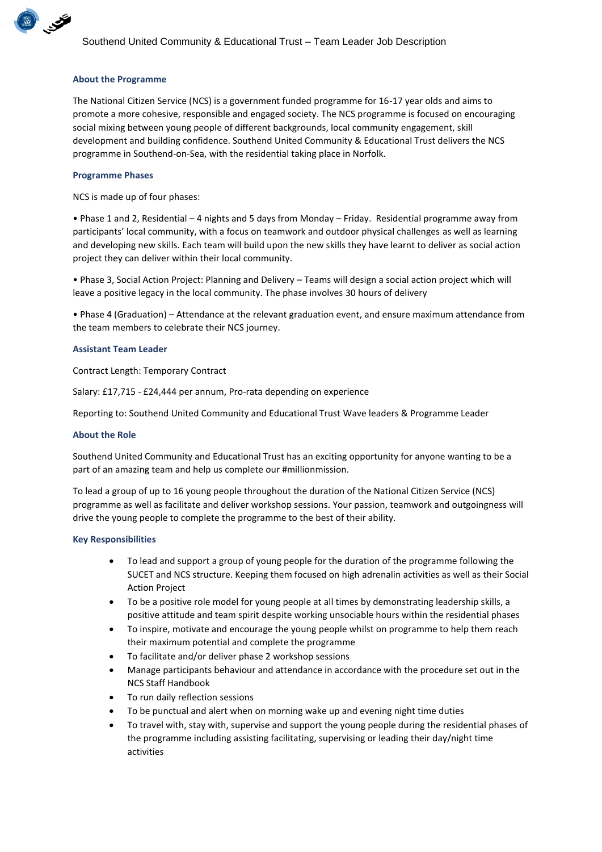

## **About the Programme**

The National Citizen Service (NCS) is a government funded programme for 16-17 year olds and aims to promote a more cohesive, responsible and engaged society. The NCS programme is focused on encouraging social mixing between young people of different backgrounds, local community engagement, skill development and building confidence. Southend United Community & Educational Trust delivers the NCS programme in Southend-on-Sea, with the residential taking place in Norfolk.

## **Programme Phases**

NCS is made up of four phases:

• Phase 1 and 2, Residential – 4 nights and 5 days from Monday – Friday. Residential programme away from participants' local community, with a focus on teamwork and outdoor physical challenges as well as learning and developing new skills. Each team will build upon the new skills they have learnt to deliver as social action project they can deliver within their local community.

• Phase 3, Social Action Project: Planning and Delivery – Teams will design a social action project which will leave a positive legacy in the local community. The phase involves 30 hours of delivery

• Phase 4 (Graduation) – Attendance at the relevant graduation event, and ensure maximum attendance from the team members to celebrate their NCS journey.

## **Assistant Team Leader**

Contract Length: Temporary Contract

Salary: £17,715 - £24,444 per annum, Pro-rata depending on experience

Reporting to: Southend United Community and Educational Trust Wave leaders & Programme Leader

## **About the Role**

Southend United Community and Educational Trust has an exciting opportunity for anyone wanting to be a part of an amazing team and help us complete our #millionmission.

To lead a group of up to 16 young people throughout the duration of the National Citizen Service (NCS) programme as well as facilitate and deliver workshop sessions. Your passion, teamwork and outgoingness will drive the young people to complete the programme to the best of their ability.

## **Key Responsibilities**

- To lead and support a group of young people for the duration of the programme following the SUCET and NCS structure. Keeping them focused on high adrenalin activities as well as their Social Action Project
- To be a positive role model for young people at all times by demonstrating leadership skills, a positive attitude and team spirit despite working unsociable hours within the residential phases
- To inspire, motivate and encourage the young people whilst on programme to help them reach their maximum potential and complete the programme
- To facilitate and/or deliver phase 2 workshop sessions
- Manage participants behaviour and attendance in accordance with the procedure set out in the NCS Staff Handbook
- To run daily reflection sessions
- To be punctual and alert when on morning wake up and evening night time duties
- To travel with, stay with, supervise and support the young people during the residential phases of the programme including assisting facilitating, supervising or leading their day/night time activities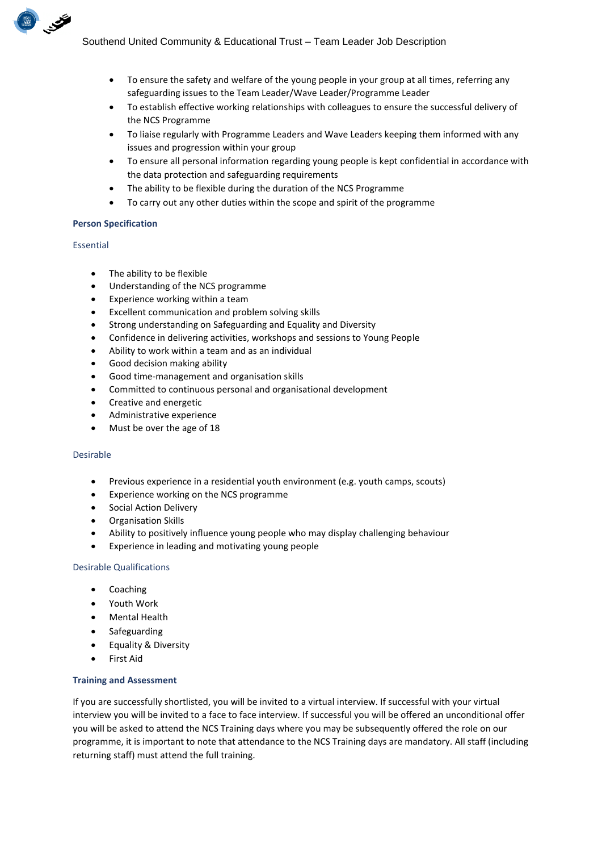- To ensure the safety and welfare of the young people in your group at all times, referring any safeguarding issues to the Team Leader/Wave Leader/Programme Leader
- To establish effective working relationships with colleagues to ensure the successful delivery of the NCS Programme
- To liaise regularly with Programme Leaders and Wave Leaders keeping them informed with any issues and progression within your group
- To ensure all personal information regarding young people is kept confidential in accordance with the data protection and safeguarding requirements
- The ability to be flexible during the duration of the NCS Programme
- To carry out any other duties within the scope and spirit of the programme

## **Person Specification**

## Essential

BUSINESS OF

- The ability to be flexible
- Understanding of the NCS programme
- Experience working within a team
- Excellent communication and problem solving skills
- Strong understanding on Safeguarding and Equality and Diversity
- Confidence in delivering activities, workshops and sessions to Young People
- Ability to work within a team and as an individual
- Good decision making ability
- Good time-management and organisation skills
- Committed to continuous personal and organisational development
- Creative and energetic
- Administrative experience
- Must be over the age of 18

## Desirable

- Previous experience in a residential youth environment (e.g. youth camps, scouts)
- Experience working on the NCS programme
- Social Action Delivery
- Organisation Skills
- Ability to positively influence young people who may display challenging behaviour
- Experience in leading and motivating young people

## Desirable Qualifications

- Coaching
- Youth Work
- Mental Health
- Safeguarding
- Equality & Diversity
- **First Aid**

## **Training and Assessment**

If you are successfully shortlisted, you will be invited to a virtual interview. If successful with your virtual interview you will be invited to a face to face interview. If successful you will be offered an unconditional offer you will be asked to attend the NCS Training days where you may be subsequently offered the role on our programme, it is important to note that attendance to the NCS Training days are mandatory. All staff (including returning staff) must attend the full training.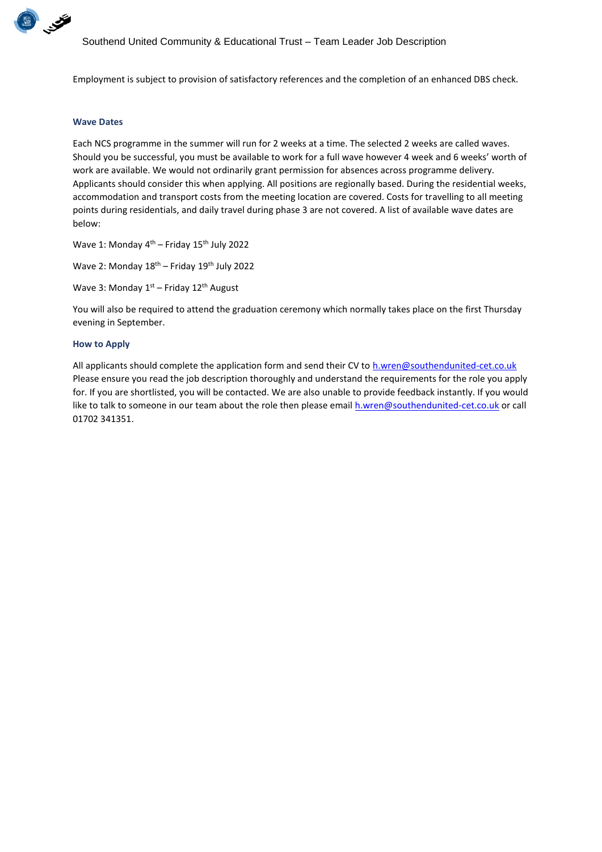

Employment is subject to provision of satisfactory references and the completion of an enhanced DBS check.

#### **Wave Dates**

Each NCS programme in the summer will run for 2 weeks at a time. The selected 2 weeks are called waves. Should you be successful, you must be available to work for a full wave however 4 week and 6 weeks' worth of work are available. We would not ordinarily grant permission for absences across programme delivery. Applicants should consider this when applying. All positions are regionally based. During the residential weeks, accommodation and transport costs from the meeting location are covered. Costs for travelling to all meeting points during residentials, and daily travel during phase 3 are not covered. A list of available wave dates are below:

Wave 1: Monday 4<sup>th</sup> – Friday 15<sup>th</sup> July 2022

Wave 2: Monday  $18^{th}$  – Friday  $19^{th}$  July 2022

Wave 3: Monday 1<sup>st</sup> – Friday 12<sup>th</sup> August

You will also be required to attend the graduation ceremony which normally takes place on the first Thursday evening in September.

#### **How to Apply**

All applicants should complete the application form and send their CV t[o h.wren@southendunited-cet.co.uk](mailto:h.wren@southendunited-cet.co.uk) Please ensure you read the job description thoroughly and understand the requirements for the role you apply for. If you are shortlisted, you will be contacted. We are also unable to provide feedback instantly. If you would like to talk to someone in our team about the role then please email [h.wren@southendunited-cet.co.uk](mailto:h.wren@southendunited-cet.co.uk) or call 01702 341351.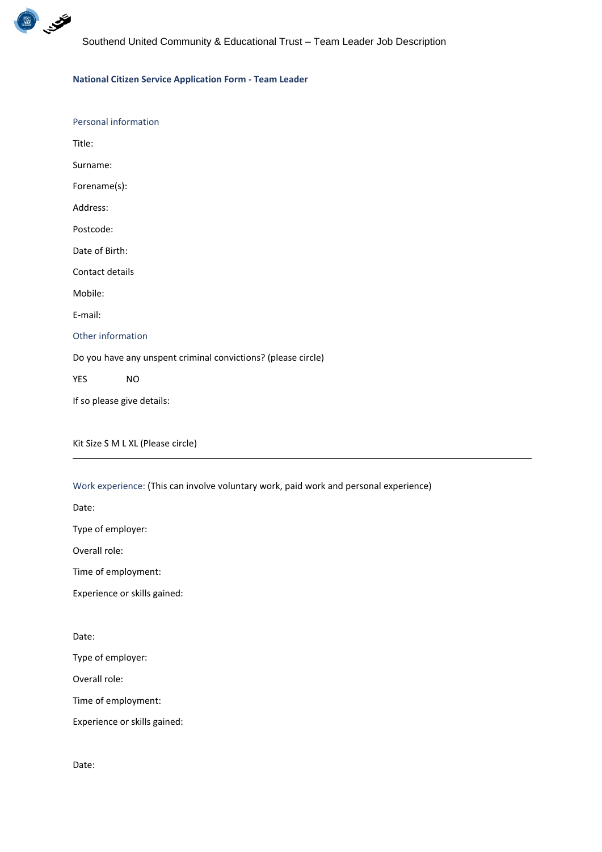

## **National Citizen Service Application Form - Team Leader**

| Personal information                                          |           |  |
|---------------------------------------------------------------|-----------|--|
| Title:                                                        |           |  |
| Surname:                                                      |           |  |
| Forename(s):                                                  |           |  |
| Address:                                                      |           |  |
| Postcode:                                                     |           |  |
| Date of Birth:                                                |           |  |
| Contact details                                               |           |  |
| Mobile:                                                       |           |  |
| E-mail:                                                       |           |  |
| Other information                                             |           |  |
| Do you have any unspent criminal convictions? (please circle) |           |  |
| <b>YES</b>                                                    | <b>NO</b> |  |
| If so please give details:                                    |           |  |
|                                                               |           |  |

Kit Size S M L XL (Please circle)

Work experience: (This can involve voluntary work, paid work and personal experience)

Date:

Type of employer:

Overall role:

Time of employment:

Experience or skills gained:

Date:

Type of employer:

Overall role:

Time of employment:

Experience or skills gained:

Date: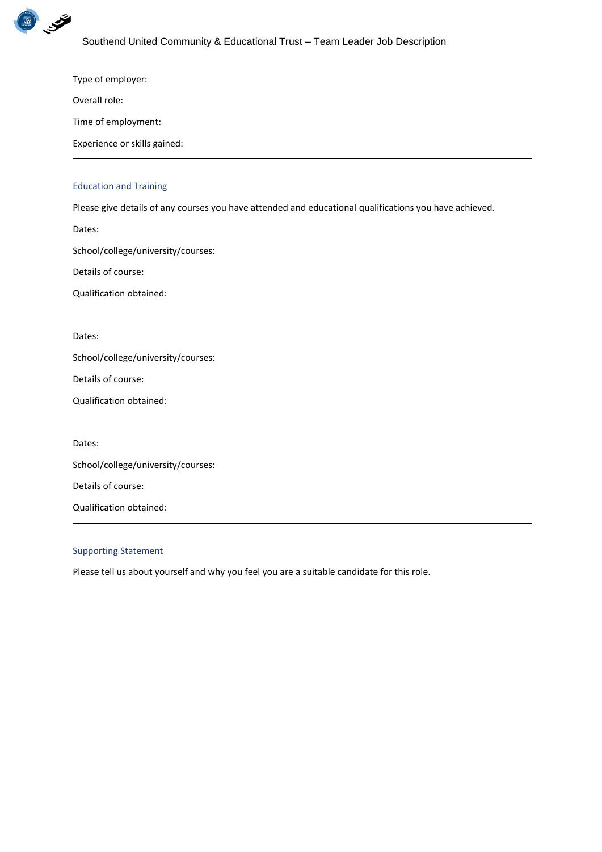

Type of employer:

Overall role:

Time of employment:

Experience or skills gained:

# Education and Training

Please give details of any courses you have attended and educational qualifications you have achieved.

Dates:

School/college/university/courses:

Details of course:

Qualification obtained:

Dates:

School/college/university/courses:

Details of course:

Qualification obtained:

Dates:

School/college/university/courses:

Details of course:

Qualification obtained:

## Supporting Statement

Please tell us about yourself and why you feel you are a suitable candidate for this role.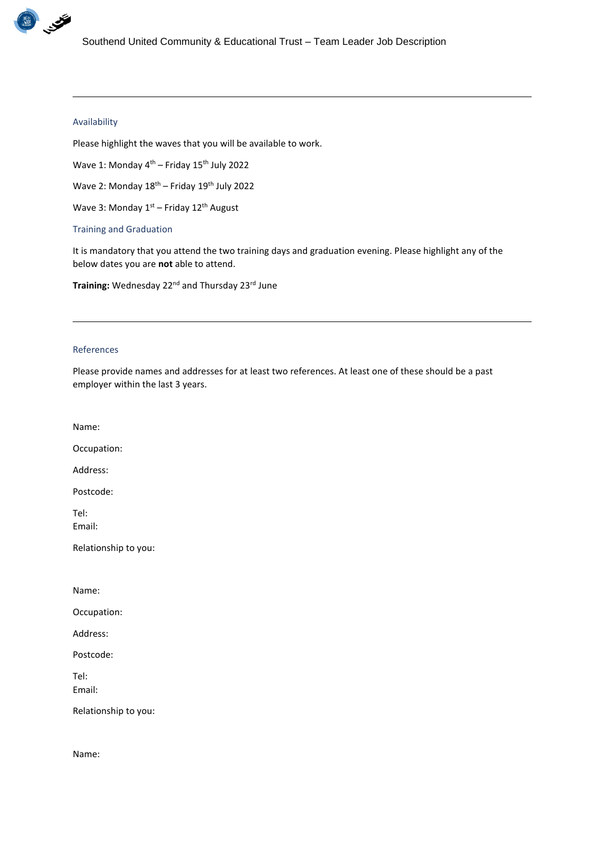

# Availability

Please highlight the waves that you will be available to work.

Wave 1: Monday 4<sup>th</sup> – Friday 15<sup>th</sup> July 2022

Wave 2: Monday  $18^{th}$  – Friday  $19^{th}$  July 2022

Wave 3: Monday  $1<sup>st</sup>$  – Friday  $12<sup>th</sup>$  August

Training and Graduation

It is mandatory that you attend the two training days and graduation evening. Please highlight any of the below dates you are **not** able to attend.

Training: Wednesday 22<sup>nd</sup> and Thursday 23<sup>rd</sup> June

## References

Please provide names and addresses for at least two references. At least one of these should be a past employer within the last 3 years.

Name:

Occupation:

Address:

Postcode:

Tel: Email:

Relationship to you:

Name:

Occupation:

Address:

Postcode:

Tel: Email:

Relationship to you:

Name: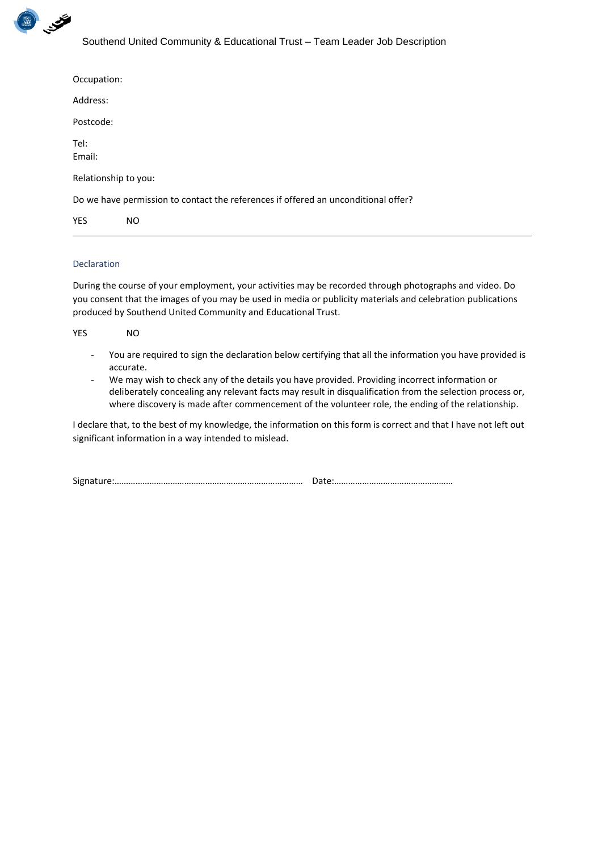

| Occupation:                                                                        |     |  |
|------------------------------------------------------------------------------------|-----|--|
| Address:                                                                           |     |  |
| Postcode:                                                                          |     |  |
| Tel:<br>Email:                                                                     |     |  |
| Relationship to you:                                                               |     |  |
| Do we have permission to contact the references if offered an unconditional offer? |     |  |
| <b>YES</b>                                                                         | NO. |  |

# Declaration

During the course of your employment, your activities may be recorded through photographs and video. Do you consent that the images of you may be used in media or publicity materials and celebration publications produced by Southend United Community and Educational Trust.

| <b>YES</b> | NO                                                                                                                     |
|------------|------------------------------------------------------------------------------------------------------------------------|
|            | - You are required to sign the declaration below certifying that all the information you have provided is<br>accurate. |

- We may wish to check any of the details you have provided. Providing incorrect information or deliberately concealing any relevant facts may result in disqualification from the selection process or, where discovery is made after commencement of the volunteer role, the ending of the relationship.

I declare that, to the best of my knowledge, the information on this form is correct and that I have not left out significant information in a way intended to mislead.

| $\sim$<br>Signat |  |
|------------------|--|
|------------------|--|